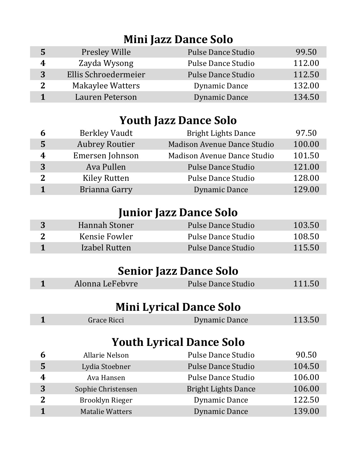### **Mini Jazz Dance Solo**

| 5 | <b>Presley Wille</b> | <b>Pulse Dance Studio</b> | 99.50  |
|---|----------------------|---------------------------|--------|
| 4 | Zayda Wysong         | <b>Pulse Dance Studio</b> | 112.00 |
| 3 | Ellis Schroedermeier | <b>Pulse Dance Studio</b> | 112.50 |
|   | Makaylee Watters     | Dynamic Dance             | 132.00 |
|   | Lauren Peterson      | Dynamic Dance             | 134.50 |

# **Youth Jazz Dance Solo**

| 6            | <b>Berkley Vaudt</b>  | <b>Bright Lights Dance</b>         | 97.50  |
|--------------|-----------------------|------------------------------------|--------|
| 5            | <b>Aubrey Routier</b> | <b>Madison Avenue Dance Studio</b> | 100.00 |
| 4            | Emersen Johnson       | Madison Avenue Dance Studio        | 101.50 |
| 3            | Ava Pullen            | <b>Pulse Dance Studio</b>          | 121.00 |
| $\mathbf{2}$ | <b>Kiley Rutten</b>   | <b>Pulse Dance Studio</b>          | 128.00 |
|              | Brianna Garry         | <b>Dynamic Dance</b>               | 129.00 |

# **Junior Jazz Dance Solo**

| Hannah Stoner | Pulse Dance Studio | 103.50 |
|---------------|--------------------|--------|
| Kensie Fowler | Pulse Dance Studio | 108.50 |
| Izabel Rutten | Pulse Dance Studio | 115.50 |
|               |                    |        |

# **Senior Jazz Dance Solo**

|                | Alonna LeFebvre        | <b>Pulse Dance Studio</b>       | 111.50 |
|----------------|------------------------|---------------------------------|--------|
|                |                        |                                 |        |
|                |                        | <b>Mini Lyrical Dance Solo</b>  |        |
| 1              | Grace Ricci            | <b>Dynamic Dance</b>            | 113.50 |
|                |                        |                                 |        |
|                |                        | <b>Youth Lyrical Dance Solo</b> |        |
| 6              | <b>Allarie Nelson</b>  | <b>Pulse Dance Studio</b>       | 90.50  |
| 5              | Lydia Stoebner         | <b>Pulse Dance Studio</b>       | 104.50 |
| 4              | Ava Hansen             | Pulse Dance Studio              | 106.00 |
| 3              | Sophie Christensen     | <b>Bright Lights Dance</b>      | 106.00 |
| $\overline{2}$ | <b>Brooklyn Rieger</b> | Dynamic Dance                   | 122.50 |
| 1              | <b>Matalie Watters</b> | Dynamic Dance                   | 139.00 |
|                |                        |                                 |        |